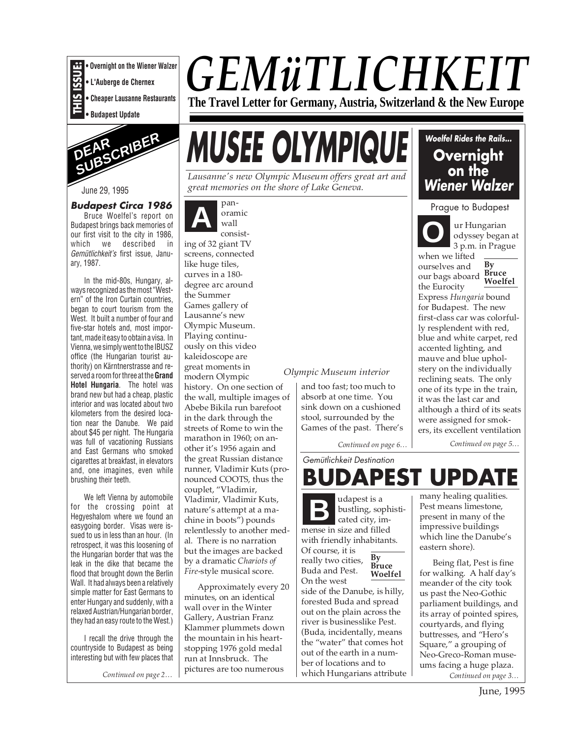

**• L'Auberge de Chernex**

- **Cheaper Lausanne Restaurants**
- **Budapest Update**



June 29, 1995

# **Budapest Circa 1986**

Bruce Woelfel's report on Budapest brings back memories of our first visit to the city in 1986, which we described in Gemütlichkeit's first issue, January, 1987.

In the mid-80s, Hungary, always recognized as the most "Western" of the Iron Curtain countries, began to court tourism from the West. It built a number of four and five-star hotels and, most important, made it easy to obtain a visa. In Vienna, we simply went to the IBUSZ office (the Hungarian tourist authority) on Kärntnerstrasse and reserved a room for three at the **Grand Hotel Hungaria**. The hotel was brand new but had a cheap, plastic interior and was located about two kilometers from the desired location near the Danube. We paid about \$45 per night. The Hungaria was full of vacationing Russians and East Germans who smoked cigarettes at breakfast, in elevators and, one imagines, even while brushing their teeth.

We left Vienna by automobile for the crossing point at Hegyeshalom where we found an easygoing border. Visas were issued to us in less than an hour. (In retrospect, it was this loosening of the Hungarian border that was the leak in the dike that became the flood that brought down the Berlin Wall. It had always been a relatively simple matter for East Germans to enter Hungary and suddenly, with a relaxed Austrian/Hungarian border, they had an easy route to the West.)

I recall the drive through the countryside to Budapest as being interesting but with few places that

*Continued on page 2…*

# *GEMüTLICHKEIT*

**The Travel Letter for Germany, Austria, Switzerland & the New Europe**

# **MUSEE OLYMPIQUE**

*Lausanne's new Olympic Museum offers great art and great memories on the shore of Lake Geneva.*



Approximately every 20 minutes, on an identical wall over in the Winter Gallery, Austrian Franz Klammer plummets down the mountain in his heartstopping 1976 gold medal run at Innsbruck. The pictures are too numerous



# *Olympic Museum interior*

and too fast; too much to absorb at one time. You sink down on a cushioned stool, surrounded by the Games of the past. There's

*Continued on page 6…*

Gemütlichkeit Destination

**B** udapest is a bustling, so bustling, sophisticated city, immense in size and filled with friendly inhabitants. Of course, it is

really two cities, Buda and Pest.



On the west side of the Danube, is hilly, forested Buda and spread out on the plain across the river is businesslike Pest. (Buda, incidentally, means the "water" that comes hot out of the earth in a number of locations and to which Hungarians attribute

**BUDAPEST UPDATE** many healing qualities. Pest means limestone, present in many of the impressive buildings which line the Danube's eastern shore).

reclining seats. The only one of its type in the train, it was the last car and although a third of its seats were assigned for smokers, its excellent ventilation

*Continued on page 5…*

**Woelfel Rides the Rails...**

**Overnight on the Wiener Walzer**

Prague to Budapest

ur Hungarian odyssey began at 3 p.m. in Prague

**By**

**Woelfel**

Being flat, Pest is fine for walking. A half day's meander of the city took us past the Neo-Gothic parliament buildings, and its array of pointed spires, courtyards, and flying buttresses, and "Hero's Square," a grouping of Neo-Greco-Roman museums facing a huge plaza. *Continued on page 3…*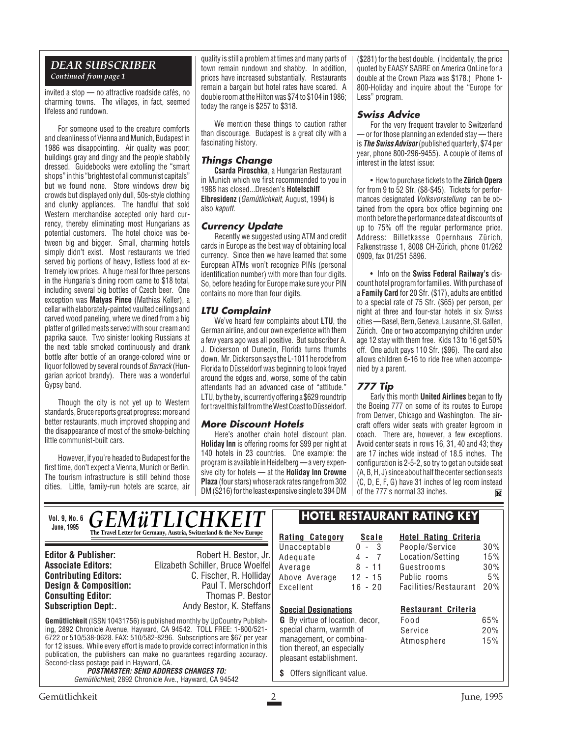# *DEAR SUBSCRIBER Continued from page 1*

invited a stop — no attractive roadside cafés, no charming towns. The villages, in fact, seemed lifeless and rundown.

For someone used to the creature comforts and cleanliness of Vienna and Munich, Budapest in 1986 was disappointing. Air quality was poor; buildings gray and dingy and the people shabbily dressed. Guidebooks were extolling the "smart shops" in this "brightest of all communist capitals" but we found none. Store windows drew big crowds but displayed only dull, 50s-style clothing and clunky appliances. The handful that sold Western merchandise accepted only hard currency, thereby eliminating most Hungarians as potential customers. The hotel choice was between big and bigger. Small, charming hotels simply didn't exist. Most restaurants we tried served big portions of heavy, listless food at extremely low prices. A huge meal for three persons in the Hungaria's dining room came to \$18 total, including several big bottles of Czech beer. One exception was **Matyas Pince** (Mathias Keller), a cellar with elaborately-painted vaulted ceilings and carved wood paneling, where we dined from a big platter of grilled meats served with sour cream and paprika sauce. Two sinister looking Russians at the next table smoked continuously and drank bottle after bottle of an orange-colored wine or liquor followed by several rounds of Barrack (Hungarian apricot brandy). There was a wonderful Gypsy band.

Though the city is not yet up to Western standards, Bruce reports great progress: more and better restaurants, much improved shopping and the disappearance of most of the smoke-belching little communist-built cars.

However, if you're headed to Budapest for the first time, don't expect a Vienna, Munich or Berlin. The tourism infrastructure is still behind those cities. Little, family-run hotels are scarce, air

quality is still a problem at times and many parts of town remain rundown and shabby. In addition, prices have increased substantially. Restaurants remain a bargain but hotel rates have soared. A double room at the Hilton was \$74 to \$104 in 1986; today the range is \$257 to \$318.

We mention these things to caution rather than discourage. Budapest is a great city with a fascinating history.

# **Things Change**

**Csarda Piroschka**, a Hungarian Restaurant in Munich which we first recommended to you in 1988 has closed...Dresden's **Hotelschiff Elbresidenz** (Gemütlichkeit, August, 1994) is also kaputt.

# **Currency Update**

Recently we suggested using ATM and credit cards in Europe as the best way of obtaining local currency. Since then we have learned that some European ATMs won't recognize PINs (personal identification number) with more than four digits. So, before heading for Europe make sure your PIN contains no more than four digits.

# **LTU Complaint**

We've heard few complaints about **LTU**, the German airline, and our own experience with them a few years ago was all positive. But subscriber A. J. Dickerson of Dunedin, Florida turns thumbs down. Mr. Dickerson says the L-1011 he rode from Florida to Düsseldorf was beginning to look frayed around the edges and, worse, some of the cabin attendants had an advanced case of "attitude." LTU, by the by, is currently offering a \$629 roundtrip for travel this fall from the West Coast to Düsseldorf.

# **More Discount Hotels**

Here's another chain hotel discount plan. **Holiday Inn** is offering rooms for \$99 per night at 140 hotels in 23 countries. One example: the program is available in Heidelberg — a very expensive city for hotels — at the **Holiday Inn Crowne Plaza** (four stars) whose rack rates range from 302 DM (\$216) for the least expensive single to 394 DM

 $\mathbb{R}$ 

(\$281) for the best double. (Incidentally, the price quoted by EAASY SABRE on America OnLine for a double at the Crown Plaza was \$178.) Phone 1- 800-Holiday and inquire about the "Europe for Less" program.

#### **Swiss Advice**

For the very frequent traveler to Switzerland — or for those planning an extended stay — there is **The Swiss Advisor**(published quarterly, \$74 per year, phone 800-296-9455). A couple of items of interest in the latest issue:

• How to purchase tickets to the **Zürich Opera** for from 9 to 52 Sfr. (\$8-\$45). Tickets for performances designated *Volksvorstellung* can be obtained from the opera box office beginning one month before the performance date at discounts of up to 75% off the regular performance price. Address: Billetkasse Opernhaus Zürich, Falkenstrasse 1, 8008 CH-Zürich, phone 01/262 0909, fax 01/251 5896.

• Info on the **Swiss Federal Railway's** discount hotel program for families. With purchase of a **Family Card** for 20 Sfr. (\$17), adults are entitled to a special rate of 75 Sfr. (\$65) per person, per night at three and four-star hotels in six Swiss cities — Basel, Bern, Geneva, Lausanne, St. Gallen, Zürich. One or two accompanying children under age 12 stay with them free. Kids 13 to 16 get 50% off. One adult pays 110 Sfr. (\$96). The card also allows children 6-16 to ride free when accompanied by a parent.

# **777 Tip**

Early this month **United Airlines** began to fly the Boeing 777 on some of its routes to Europe from Denver, Chicago and Washington. The aircraft offers wider seats with greater legroom in coach. There are, however, a few exceptions. Avoid center seats in rows 16, 31, 40 and 43; they are 17 inches wide instead of 18.5 inches. The configuration is 2-5-2, so try to get an outside seat (A, B, H, J) since about half the center section seats (C, D, E, F, G) have 31 inches of leg room instead of the 777's normal 33 inches.M

*GEMüTLICHKEIT* **The Travel Letter for Germany, Austria, Switzerland & the New Europe Vol. 9, No. 6 June, 1995**

**Consulting Editor:**<br>Subscription Dept:.

**Editor & Publisher:** Robert H. Bestor, Jr. **Associate Editors:** Elizabeth Schiller, Bruce Woelfel **C. Fischer, R. Holliday**<br>Paul T. Merschdorf **Design & Composition:** Paul T. Merschdorf **Consulting Editor:** Paul T. Merschdorf **Consulting Editor:** Paul Thomas P. Bestor Andy Bestor, K. Steffans

**Gemütlichkeit** (ISSN 10431756) is published monthly by UpCountry Publishing, 2892 Chronicle Avenue, Hayward, CA 94542. TOLL FREE: 1-800/521- 6722 or 510/538-0628. FAX: 510/582-8296. Subscriptions are \$67 per year for 12 issues. While every effort is made to provide correct information in this publication, the publishers can make no guarantees regarding accuracy. Second-class postage paid in Hayward, CA. **POSTMASTER: SEND ADDRESS CHANGES TO:**

Gemütlichkeit, 2892 Chronicle Ave., Hayward, CA 94542

# **HOTEL RESTAURANT RATING KEY**

**Rating Category Scale** Unacceptable Adequate 4 - 7<br>Average 8 - 11 Average Above Average 12 - 15 Excellent 16 - 20

#### **Hotel Rating Criteria** People/Service 30% Location/Setting 15% Guestrooms 30% Public rooms 5%

Facilities/Restaurant 20%

# **Restaurant Criteria**

Food 65% Service 20% Atmosphere 15%

pleasant establishment. **\$** Offers significant value.

**Special Designations G** By virtue of location, decor, special charm, warmth of management, or combination thereof, an especially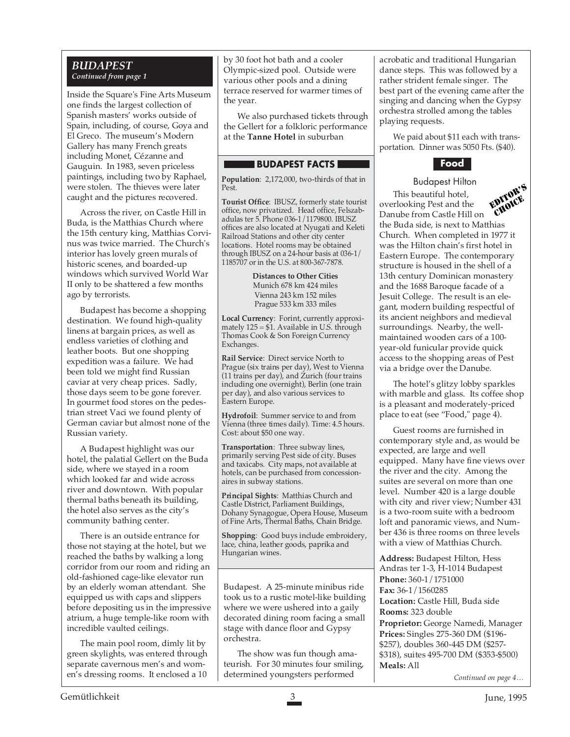#### *BUDAPEST Continued from page 1*

Inside the Square's Fine Arts Museum one finds the largest collection of Spanish masters' works outside of Spain, including, of course, Goya and El Greco. The museum's Modern Gallery has many French greats including Monet, Cézanne and Gauguin. In 1983, seven priceless paintings, including two by Raphael, were stolen. The thieves were later caught and the pictures recovered.

Across the river, on Castle Hill in Buda, is the Matthias Church where the 15th century king, Matthias Corvinus was twice married. The Church's interior has lovely green murals of historic scenes, and boarded-up windows which survived World War II only to be shattered a few months ago by terrorists.

Budapest has become a shopping destination. We found high-quality linens at bargain prices, as well as endless varieties of clothing and leather boots. But one shopping expedition was a failure. We had been told we might find Russian caviar at very cheap prices. Sadly, those days seem to be gone forever. In gourmet food stores on the pedestrian street Vaci we found plenty of German caviar but almost none of the Russian variety.

A Budapest highlight was our hotel, the palatial Gellert on the Buda side, where we stayed in a room which looked far and wide across river and downtown. With popular thermal baths beneath its building, the hotel also serves as the city's community bathing center.

There is an outside entrance for those not staying at the hotel, but we reached the baths by walking a long corridor from our room and riding an old-fashioned cage-like elevator run by an elderly woman attendant. She equipped us with caps and slippers before depositing us in the impressive atrium, a huge temple-like room with incredible vaulted ceilings.

The main pool room, dimly lit by green skylights, was entered through separate cavernous men's and women's dressing rooms. It enclosed a 10

by 30 foot hot bath and a cooler Olympic-sized pool. Outside were various other pools and a dining terrace reserved for warmer times of the year.

We also purchased tickets through the Gellert for a folkloric performance at the **Tanne Hotel** in suburban

# **BUDAPEST FACTS**

**Population**: 2,172,000, two-thirds of that in Pest.

**Tourist Office**:IBUSZ, formerly state tourist office, now privatized. Head office, Felszabadulas ter 5. Phone 036-1/1179800. IBUSZ offices are also located at Nyugati and Keleti Railroad Stations and other city center locations. Hotel rooms may be obtained through IBUSZ on a 24-hour basis at 036-1/ 1185707 or in the U.S. at 800-367-7878.

> **Distances to Other Cities** Munich 678 km 424 miles Vienna 243 km 152 miles Prague 533 km 333 miles

**Local Currency**: Forint, currently approximately  $125 = $1$ . Available in U.S. through Thomas Cook & Son Foreign Currency Exchanges.

**Rail Service**: Direct service North to Prague (six trains per day), West to Vienna  $(11 \text{ trains per day})$ , and  $\text{Zurich}$  (four trains including one overnight), Berlin (one train per day), and also various services to Eastern Europe.

**Hydrofoil**: Summer service to and from Vienna (three times daily). Time: 4.5 hours. Cost: about \$50 one way.

**Transportation**: Three subway lines, primarily serving Pest side of city. Buses and taxicabs. City maps, not available at hotels, can be purchased from concessionaires in subway stations.

**Principal Sights**: Matthias Church and Castle District, Parliament Buildings, Dohany Synagogue, Opera House, Museum of Fine Arts, Thermal Baths, Chain Bridge.

**Shopping**: Good buys include embroidery, lace, china, leather goods, paprika and Hungarian wines.

Budapest. A 25-minute minibus ride took us to a rustic motel-like building where we were ushered into a gaily decorated dining room facing a small stage with dance floor and Gypsy orchestra.

The show was fun though amateurish. For 30 minutes four smiling, determined youngsters performed

acrobatic and traditional Hungarian dance steps. This was followed by a rather strident female singer. The best part of the evening came after the singing and dancing when the Gypsy orchestra strolled among the tables playing requests.

We paid about \$11 each with transportation. Dinner was 5050 Fts. (\$40).



# Budapest Hilton



This beautiful hotel, overlooking Pest and the Danube from Castle Hill on the Buda side, is next to Matthias Church. When completed in 1977 it was the Hilton chain's first hotel in Eastern Europe. The contemporary structure is housed in the shell of a 13th century Dominican monastery and the 1688 Baroque facade of a Jesuit College. The result is an elegant, modern building respectful of its ancient neighbors and medieval surroundings. Nearby, the wellmaintained wooden cars of a 100 year-old funicular provide quick access to the shopping areas of Pest via a bridge over the Danube. CHOICE

The hotel's glitzy lobby sparkles with marble and glass. Its coffee shop is a pleasant and moderately-priced place to eat (see "Food," page 4).

Guest rooms are furnished in contemporary style and, as would be expected, are large and well equipped. Many have fine views over the river and the city. Among the suites are several on more than one level. Number 420 is a large double with city and river view; Number 431 is a two-room suite with a bedroom loft and panoramic views, and Number 436 is three rooms on three levels with a view of Matthias Church.

**Address:** Budapest Hilton, Hess Andras ter 1-3, H-1014 Budapest **Phone:** 360-1/1751000 **Fax:** 36-1/1560285 **Location:** Castle Hill, Buda side **Rooms:** 323 double **Proprietor:** George Namedi, Manager **Prices:** Singles 275-360 DM (\$196- \$257), doubles 360-445 DM (\$257- \$318), suites 495-700 DM (\$353-\$500) **Meals:** All

*Continued on page 4…*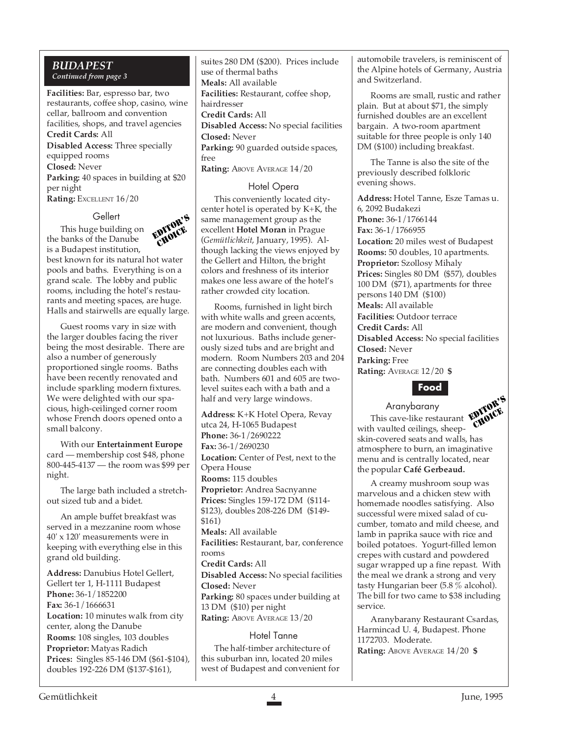# *BUDAPEST Continued from page 3*

**Facilities:** Bar, espresso bar, two restaurants, coffee shop, casino, wine cellar, ballroom and convention facilities, shops, and travel agencies **Credit Cards:** All

**Disabled Access:** Three specially equipped rooms **Closed:** Never **Parking:** 40 spaces in building at \$20 per night **Rating:** EXCELLENT 16/20

# **Gellert**



This huge building on the banks of the Danube is a Budapest institution,

best known for its natural hot water pools and baths. Everything is on a grand scale. The lobby and public rooms, including the hotel's restaurants and meeting spaces, are huge. Halls and stairwells are equally large.

Guest rooms vary in size with the larger doubles facing the river being the most desirable. There are also a number of generously proportioned single rooms. Baths have been recently renovated and include sparkling modern fixtures. We were delighted with our spacious, high-ceilinged corner room whose French doors opened onto a small balcony.

With our **Entertainment Europe** card — membership cost \$48, phone 800-445-4137 — the room was \$99 per night.

The large bath included a stretchout sized tub and a bidet.

An ample buffet breakfast was served in a mezzanine room whose 40' x 120' measurements were in keeping with everything else in this grand old building.

**Address:** Danubius Hotel Gellert, Gellert ter 1, H-1111 Budapest **Phone:** 36-1/1852200 **Fax:** 36-1/1666631 **Location:** 10 minutes walk from city center, along the Danube **Rooms:** 108 singles, 103 doubles **Proprietor:** Matyas Radich **Prices:** Singles 85-146 DM (\$61-\$104), doubles 192-226 DM (\$137-\$161),

suites 280 DM (\$200). Prices include use of thermal baths **Meals:** All available **Facilities:** Restaurant, coffee shop, hairdresser **Credit Cards:** All **Disabled Access:** No special facilities **Closed:** Never

**Parking:** 90 guarded outside spaces, free

**Rating: ABOVE AVERAGE 14/20** 

# Hotel Opera

This conveniently located citycenter hotel is operated by K+K, the same management group as the excellent **Hotel Moran** in Prague (*Gemütlichkeit*, January, 1995). Although lacking the views enjoyed by the Gellert and Hilton, the bright colors and freshness of its interior makes one less aware of the hotel's rather crowded city location.

Rooms, furnished in light birch with white walls and green accents, are modern and convenient, though not luxurious. Baths include generously sized tubs and are bright and modern. Room Numbers 203 and 204 are connecting doubles each with bath. Numbers 601 and 605 are twolevel suites each with a bath and a half and very large windows.

**Address:** K+K Hotel Opera, Revay utca 24, H-1065 Budapest **Phone:** 36-1/2690222 **Fax:** 36-1/2690230 **Location:** Center of Pest, next to the Opera House **Rooms:** 115 doubles **Proprietor:** Andrea Sacnyanne **Prices:** Singles 159-172 DM (\$114- \$123), doubles 208-226 DM (\$149- \$161) **Meals:** All available **Facilities:** Restaurant, bar, conference rooms **Credit Cards:** All **Disabled Access:** No special facilities **Closed:** Never **Parking:** 80 spaces under building at 13 DM (\$10) per night **Rating:** ABOVE AVERAGE  $13/20$ 

#### Hotel Tanne

The half-timber architecture of this suburban inn, located 20 miles west of Budapest and convenient for automobile travelers, is reminiscent of the Alpine hotels of Germany, Austria and Switzerland.

Rooms are small, rustic and rather plain. But at about \$71, the simply furnished doubles are an excellent bargain. A two-room apartment suitable for three people is only 140 DM (\$100) including breakfast.

The Tanne is also the site of the previously described folkloric evening shows.

**Address:** Hotel Tanne, Esze Tamas u. 6, 2092 Budakezi **Phone:** 36-1/1766144 **Fax:** 36-1/1766955 **Location:** 20 miles west of Budapest **Rooms:** 50 doubles, 10 apartments. **Proprietor:** Szollosy Mihaly **Prices:** Singles 80 DM (\$57), doubles 100 DM (\$71), apartments for three persons 140 DM (\$100) **Meals:** All available **Facilities:** Outdoor terrace **Credit Cards:** All **Disabled Access:** No special facilities **Closed:** Never **Parking:** Free **Rating:** AVERAGE 12/20 **\$**



# Aranybarany



This cave-like restaurant with vaulted ceilings, sheepskin-covered seats and walls, has atmosphere to burn, an imaginative menu and is centrally located, near the popular **Café Gerbeaud.** CHOICE

A creamy mushroom soup was marvelous and a chicken stew with homemade noodles satisfying. Also successful were mixed salad of cucumber, tomato and mild cheese, and lamb in paprika sauce with rice and boiled potatoes. Yogurt-filled lemon crepes with custard and powdered sugar wrapped up a fine repast. With the meal we drank a strong and very tasty Hungarian beer (5.8 % alcohol). The bill for two came to \$38 including service.

Aranybarany Restaurant Csardas, Harmincad U. 4, Budapest. Phone 1172703. Moderate. **Rating:** ABOVE AVERAGE 14/20 **\$**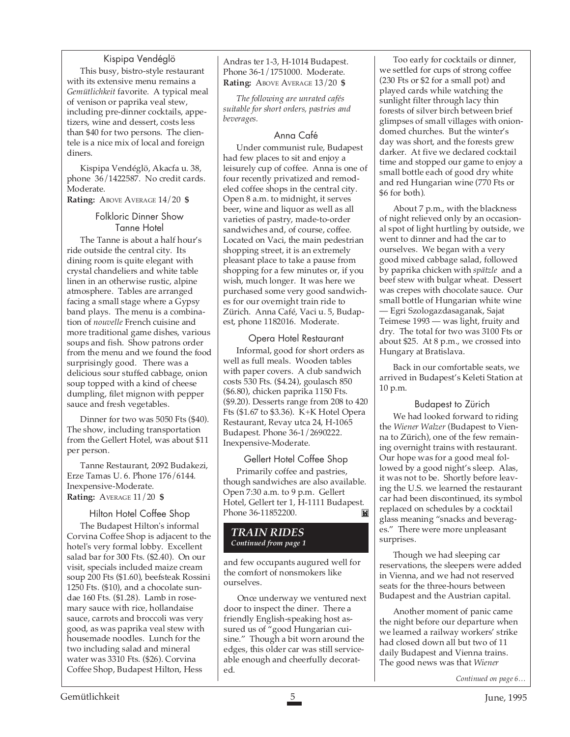#### Kispipa Vendéglö

This busy, bistro-style restaurant with its extensive menu remains a *Gemütlichkeit* favorite. A typical meal of venison or paprika veal stew, including pre-dinner cocktails, appetizers, wine and dessert, costs less than \$40 for two persons. The clientele is a nice mix of local and foreign diners.

Kispipa Vendéglö, Akacfa u. 38, phone 36/1422587. No credit cards. Moderate.

**Rating:** ABOVE AVERAGE 14/20 **\$**

# Folkloric Dinner Show Tanne Hotel

The Tanne is about a half hour's ride outside the central city. Its dining room is quite elegant with crystal chandeliers and white table linen in an otherwise rustic, alpine atmosphere. Tables are arranged facing a small stage where a Gypsy band plays. The menu is a combination of *nouvelle* French cuisine and more traditional game dishes, various soups and fish. Show patrons order from the menu and we found the food surprisingly good. There was a delicious sour stuffed cabbage, onion soup topped with a kind of cheese dumpling, filet mignon with pepper sauce and fresh vegetables.

Dinner for two was 5050 Fts (\$40). The show, including transportation from the Gellert Hotel, was about \$11 per person.

Tanne Restaurant, 2092 Budakezi, Erze Tamas U. 6. Phone 176/6144. Inexpensive-Moderate. **Rating:** AVERAGE 11/20 **\$**

#### Hilton Hotel Coffee Shop

The Budapest Hilton's informal Corvina Coffee Shop is adjacent to the hotel's very formal lobby. Excellent salad bar for 300 Fts. (\$2.40). On our visit, specials included maize cream soup 200 Fts (\$1.60), beefsteak Rossini 1250 Fts. (\$10), and a chocolate sundae 160 Fts. (\$1.28). Lamb in rosemary sauce with rice, hollandaise sauce, carrots and broccoli was very good, as was paprika veal stew with housemade noodles. Lunch for the two including salad and mineral water was 3310 Fts. (\$26). Corvina Coffee Shop, Budapest Hilton, Hess

Andras ter 1-3, H-1014 Budapest. Phone 36-1/1751000. Moderate. **Rating:** ABOVE AVERAGE 13/20 **\$**

*The following are unrated cafés suitable for short orders, pastries and beverages.*

# Anna Café

Under communist rule, Budapest had few places to sit and enjoy a leisurely cup of coffee. Anna is one of four recently privatized and remodeled coffee shops in the central city. Open 8 a.m. to midnight, it serves beer, wine and liquor as well as all varieties of pastry, made-to-order sandwiches and, of course, coffee. Located on Vaci, the main pedestrian shopping street, it is an extremely pleasant place to take a pause from shopping for a few minutes or, if you wish, much longer. It was here we purchased some very good sandwiches for our overnight train ride to Zürich. Anna Café, Vaci u. 5, Budapest, phone 1182016. Moderate.

#### Opera Hotel Restaurant

Informal, good for short orders as well as full meals. Wooden tables with paper covers. A club sandwich costs 530 Fts. (\$4.24), goulasch 850 (\$6.80), chicken paprika 1150 Fts. (\$9.20). Desserts range from 208 to 420 Fts (\$1.67 to \$3.36). K+K Hotel Opera Restaurant, Revay utca 24, H-1065 Budapest. Phone 36-1/2690222. Inexpensive-Moderate.

Gellert Hotel Coffee Shop Primarily coffee and pastries, though sandwiches are also available. Open 7:30 a.m. to 9 p.m. Gellert Hotel, Gellert ter 1, H-1111 Budapest. Phone 36-11852200. м

#### *TRAIN RIDES Continued from page 1*

and few occupants augured well for the comfort of nonsmokers like ourselves.

Once underway we ventured next door to inspect the diner. There a friendly English-speaking host assured us of "good Hungarian cuisine." Though a bit worn around the edges, this older car was still serviceable enough and cheerfully decorated.

Too early for cocktails or dinner, we settled for cups of strong coffee (230 Fts or \$2 for a small pot) and played cards while watching the sunlight filter through lacy thin forests of silver birch between brief glimpses of small villages with oniondomed churches. But the winter's day was short, and the forests grew darker. At five we declared cocktail time and stopped our game to enjoy a small bottle each of good dry white and red Hungarian wine (770 Fts or \$6 for both).

About 7 p.m., with the blackness of night relieved only by an occasional spot of light hurtling by outside, we went to dinner and had the car to ourselves. We began with a very good mixed cabbage salad, followed by paprika chicken with *spätzle* and a beef stew with bulgar wheat. Dessert was crepes with chocolate sauce. Our small bottle of Hungarian white wine — Egri Szologazdasaganak, Sajat Teimese 1993 — was light, fruity and dry. The total for two was 3100 Fts or about \$25. At 8 p.m., we crossed into Hungary at Bratislava.

Back in our comfortable seats, we arrived in Budapest's Keleti Station at 10 p.m.

# Budapest to Zürich

We had looked forward to riding the *Wiener Walzer* (Budapest to Vienna to Zürich), one of the few remaining overnight trains with restaurant. Our hope was for a good meal followed by a good night's sleep. Alas, it was not to be. Shortly before leaving the U.S. we learned the restaurant car had been discontinued, its symbol replaced on schedules by a cocktail glass meaning "snacks and beverages." There were more unpleasant surprises.

Though we had sleeping car reservations, the sleepers were added in Vienna, and we had not reserved seats for the three-hours between Budapest and the Austrian capital.

Another moment of panic came the night before our departure when we learned a railway workers' strike had closed down all but two of 11 daily Budapest and Vienna trains. The good news was that *Wiener*

*Continued on page 6…*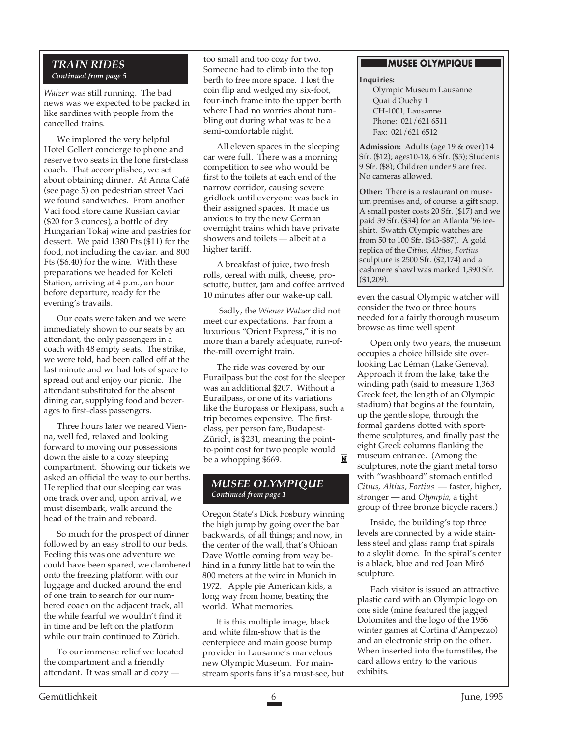# *TRAIN RIDES Continued from page 5*

*Walzer* was still running. The bad news was we expected to be packed in like sardines with people from the cancelled trains.

We implored the very helpful Hotel Gellert concierge to phone and reserve two seats in the lone first-class coach. That accomplished, we set about obtaining dinner. At Anna Café (see page 5) on pedestrian street Vaci we found sandwiches. From another Vaci food store came Russian caviar (\$20 for 3 ounces), a bottle of dry Hungarian Tokaj wine and pastries for dessert. We paid 1380 Fts (\$11) for the food, not including the caviar, and 800 Fts (\$6.40) for the wine. With these preparations we headed for Keleti Station, arriving at 4 p.m., an hour before departure, ready for the evening's travails.

Our coats were taken and we were immediately shown to our seats by an attendant, the only passengers in a coach with 48 empty seats. The strike, we were told, had been called off at the last minute and we had lots of space to spread out and enjoy our picnic. The attendant substituted for the absent dining car, supplying food and beverages to first-class passengers.

Three hours later we neared Vienna, well fed, relaxed and looking forward to moving our possessions down the aisle to a cozy sleeping compartment. Showing our tickets we asked an official the way to our berths. He replied that our sleeping car was one track over and, upon arrival, we must disembark, walk around the head of the train and reboard.

So much for the prospect of dinner followed by an easy stroll to our beds. Feeling this was one adventure we could have been spared, we clambered onto the freezing platform with our luggage and ducked around the end of one train to search for our numbered coach on the adjacent track, all the while fearful we wouldn't find it in time and be left on the platform while our train continued to Zürich.

To our immense relief we located the compartment and a friendly attendant. It was small and cozy —

too small and too cozy for two. Someone had to climb into the top berth to free more space. I lost the coin flip and wedged my six-foot, four-inch frame into the upper berth where I had no worries about tumbling out during what was to be a semi-comfortable night.

All eleven spaces in the sleeping car were full. There was a morning competition to see who would be first to the toilets at each end of the narrow corridor, causing severe gridlock until everyone was back in their assigned spaces. It made us anxious to try the new German overnight trains which have private showers and toilets — albeit at a higher tariff.

A breakfast of juice, two fresh rolls, cereal with milk, cheese, prosciutto, butter, jam and coffee arrived 10 minutes after our wake-up call.

 Sadly, the *Wiener Walzer* did not meet our expectations. Far from a luxurious "Orient Express," it is no more than a barely adequate, run-ofthe-mill overnight train.

The ride was covered by our Eurailpass but the cost for the sleeper was an additional \$207. Without a Eurailpass, or one of its variations like the Europass or Flexipass, such a trip becomes expensive. The firstclass, per person fare, Budapest-Zürich, is \$231, meaning the pointto-point cost for two people would be a whopping \$669. M

# *MUSEE OLYMPIQUE Continued from page 1*

Oregon State's Dick Fosbury winning the high jump by going over the bar backwards, of all things; and now, in the center of the wall, that's Ohioan Dave Wottle coming from way behind in a funny little hat to win the 800 meters at the wire in Munich in 1972. Apple pie American kids, a long way from home, beating the world. What memories.

It is this multiple image, black and white film-show that is the centerpiece and main goose bump provider in Lausanne's marvelous new Olympic Museum. For mainstream sports fans it's a must-see, but

# **MUSEE OLYMPIQUE**

#### **Inquiries:**

Olympic Museum Lausanne Quai d'Ouchy 1 CH-1001, Lausanne Phone: 021/621 6511 Fax: 021/621 6512

**Admission:** Adults (age 19 & over) 14 Sfr. (\$12); ages10-18, 6 Sfr. (\$5); Students 9 Sfr. (\$8); Children under 9 are free. No cameras allowed.

**Other:** There is a restaurant on museum premises and, of course, a gift shop. A small poster costs 20 Sfr. (\$17) and we paid 39 Sfr. (\$34) for an Atlanta '96 teeshirt. Swatch Olympic watches are from 50 to 100 Sfr. (\$43-\$87). A gold replica of the *Citius, Altius, Fortius* sculpture is 2500 Sfr. (\$2,174) and a cashmere shawl was marked 1,390 Sfr. (\$1,209).

even the casual Olympic watcher will consider the two or three hours needed for a fairly thorough museum browse as time well spent.

Open only two years, the museum occupies a choice hillside site overlooking Lac Léman (Lake Geneva). Approach it from the lake, take the winding path (said to measure 1,363 Greek feet, the length of an Olympic stadium) that begins at the fountain, up the gentle slope, through the formal gardens dotted with sporttheme sculptures, and finally past the eight Greek columns flanking the museum entrance. (Among the sculptures, note the giant metal torso with "washboard" stomach entitled *Citius, Altius, Fortius* — faster, higher, stronger — and *Olympia*, a tight group of three bronze bicycle racers.)

Inside, the building's top three levels are connected by a wide stainless steel and glass ramp that spirals to a skylit dome. In the spiral's center is a black, blue and red Joan Miró sculpture.

Each visitor is issued an attractive plastic card with an Olympic logo on one side (mine featured the jagged Dolomites and the logo of the 1956 winter games at Cortina d'Ampezzo) and an electronic strip on the other. When inserted into the turnstiles, the card allows entry to the various exhibits.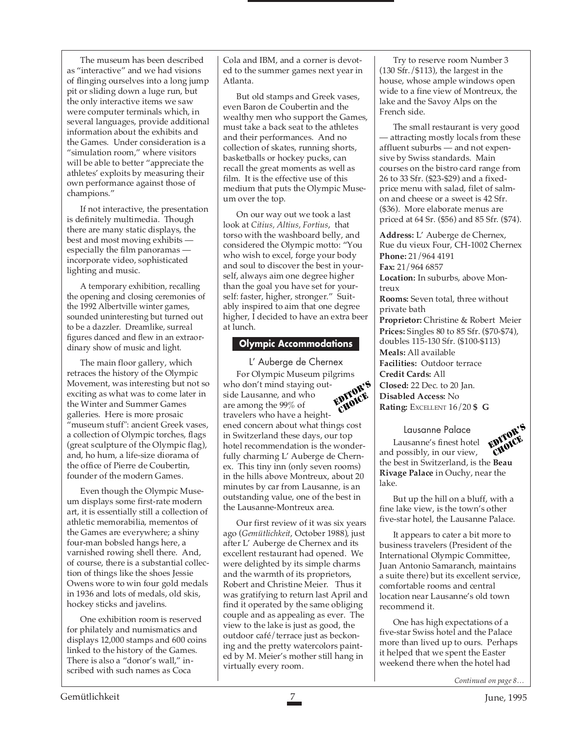The museum has been described as "interactive" and we had visions of flinging ourselves into a long jump pit or sliding down a luge run, but the only interactive items we saw were computer terminals which, in several languages, provide additional information about the exhibits and the Games. Under consideration is a "simulation room," where visitors will be able to better "appreciate the athletes' exploits by measuring their own performance against those of champions."

If not interactive, the presentation is definitely multimedia. Though there are many static displays, the best and most moving exhibits especially the film panoramas incorporate video, sophisticated lighting and music.

A temporary exhibition, recalling the opening and closing ceremonies of the 1992 Albertville winter games, sounded uninteresting but turned out to be a dazzler. Dreamlike, surreal figures danced and flew in an extraordinary show of music and light.

The main floor gallery, which retraces the history of the Olympic Movement, was interesting but not so exciting as what was to come later in the Winter and Summer Games galleries. Here is more prosaic "museum stuff": ancient Greek vases, a collection of Olympic torches, flags (great sculpture of the Olympic flag), and, ho hum, a life-size diorama of the office of Pierre de Coubertin, founder of the modern Games.

Even though the Olympic Museum displays some first-rate modern art, it is essentially still a collection of athletic memorabilia, mementos of the Games are everywhere; a shiny four-man bobsled hangs here, a varnished rowing shell there. And, of course, there is a substantial collection of things like the shoes Jessie Owens wore to win four gold medals in 1936 and lots of medals, old skis, hockey sticks and javelins.

One exhibition room is reserved for philately and numismatics and displays 12,000 stamps and 600 coins linked to the history of the Games. There is also a "donor's wall," inscribed with such names as Coca

Cola and IBM, and a corner is devoted to the summer games next year in Atlanta.

But old stamps and Greek vases, even Baron de Coubertin and the wealthy men who support the Games, must take a back seat to the athletes and their performances. And no collection of skates, running shorts, basketballs or hockey pucks, can recall the great moments as well as film. It is the effective use of this medium that puts the Olympic Museum over the top.

On our way out we took a last look at *Citius, Altius, Fortius*, that torso with the washboard belly, and considered the Olympic motto: "You who wish to excel, forge your body and soul to discover the best in yourself, always aim one degree higher than the goal you have set for yourself: faster, higher, stronger." Suitably inspired to aim that one degree higher, I decided to have an extra beer at lunch.

# **Olympic Accommodations**

L' Auberge de Chernex For Olympic Museum pilgrims who don't mind staying outside Lausanne, and who are among the 99% of travelers who have a heightened concern about what things cost in Switzerland these days, our top hotel recommendation is the wonderfully charming L' Auberge de Chernex. This tiny inn (only seven rooms) in the hills above Montreux, about 20 minutes by car from Lausanne, is an outstanding value, one of the best in the Lausanne-Montreux area. EDITOR'S CHOICE

Our first review of it was six years ago (*Gemütlichkeit*, October 1988), just after L' Auberge de Chernex and its excellent restaurant had opened. We were delighted by its simple charms and the warmth of its proprietors, Robert and Christine Meier. Thus it was gratifying to return last April and find it operated by the same obliging couple and as appealing as ever. The view to the lake is just as good, the outdoor café/terrace just as beckoning and the pretty watercolors painted by M. Meier's mother still hang in virtually every room.

Try to reserve room Number 3 (130 Sfr./\$113), the largest in the house, whose ample windows open wide to a fine view of Montreux, the lake and the Savoy Alps on the French side.

The small restaurant is very good — attracting mostly locals from these affluent suburbs — and not expensive by Swiss standards. Main courses on the bistro card range from 26 to 33 Sfr. (\$23-\$29) and a fixedprice menu with salad, filet of salmon and cheese or a sweet is 42 Sfr. (\$36). More elaborate menus are priced at 64 Sr. (\$56) and 85 Sfr. (\$74).

**Address:** L' Auberge de Chernex, Rue du vieux Four, CH-1002 Chernex **Phone:** 21/964 4191 **Fax:** 21/964 6857 **Location:** In suburbs, above Montreux **Rooms:** Seven total, three without private bath **Proprietor:** Christine & Robert Meier **Prices:** Singles 80 to 85 Sfr. (\$70-\$74), doubles 115-130 Sfr. (\$100-\$113) **Meals:** All available **Facilities:** Outdoor terrace

**Credit Cards:** All **Closed:** 22 Dec. to 20 Jan. **Disabled Access:** No **Rating:** EXCELLENT 16/20 **\$ G**



But up the hill on a bluff, with a fine lake view, is the town's other five-star hotel, the Lausanne Palace.

It appears to cater a bit more to business travelers (President of the International Olympic Committee, Juan Antonio Samaranch, maintains a suite there) but its excellent service, comfortable rooms and central location near Lausanne's old town recommend it.

One has high expectations of a five-star Swiss hotel and the Palace more than lived up to ours. Perhaps it helped that we spent the Easter weekend there when the hotel had

*Continued on page 8…*